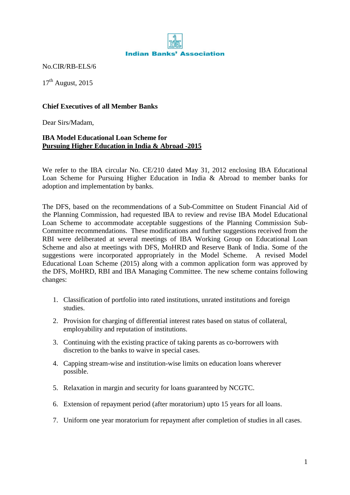

No.CIR/RB-ELS/6

 $17<sup>th</sup>$  August, 2015

## **Chief Executives of all Member Banks**

Dear Sirs/Madam,

## **IBA Model Educational Loan Scheme for Pursuing Higher Education in India & Abroad -2015**

We refer to the IBA circular No. CE/210 dated May 31, 2012 enclosing IBA Educational Loan Scheme for Pursuing Higher Education in India & Abroad to member banks for adoption and implementation by banks.

The DFS, based on the recommendations of a Sub-Committee on Student Financial Aid of the Planning Commission, had requested IBA to review and revise IBA Model Educational Loan Scheme to accommodate acceptable suggestions of the Planning Commission Sub-Committee recommendations. These modifications and further suggestions received from the RBI were deliberated at several meetings of IBA Working Group on Educational Loan Scheme and also at meetings with DFS, MoHRD and Reserve Bank of India. Some of the suggestions were incorporated appropriately in the Model Scheme. A revised Model Educational Loan Scheme (2015) along with a common application form was approved by the DFS, MoHRD, RBI and IBA Managing Committee. The new scheme contains following changes:

- 1. Classification of portfolio into rated institutions, unrated institutions and foreign studies.
- 2. Provision for charging of differential interest rates based on status of collateral, employability and reputation of institutions.
- 3. Continuing with the existing practice of taking parents as co-borrowers with discretion to the banks to waive in special cases.
- 4. Capping stream-wise and institution-wise limits on education loans wherever possible.
- 5. Relaxation in margin and security for loans guaranteed by NCGTC.
- 6. Extension of repayment period (after moratorium) upto 15 years for all loans.
- 7. Uniform one year moratorium for repayment after completion of studies in all cases.